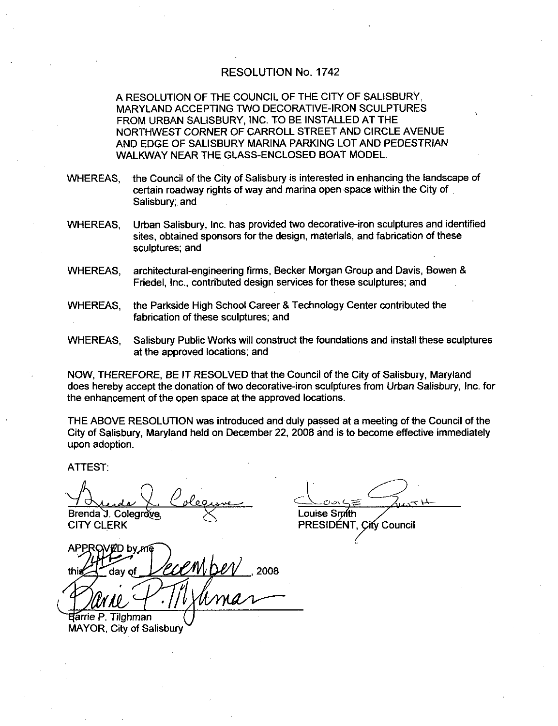## RESOLUTION No. 1742

A RESOLUTION OF THE COUNCIL OF THE CITY OF SALISBURY MARYLAND ACCEPTING TWO DECORATIVE-IRON SCULPTURES FROM URBAN SALISBURY, INC. TO BE INSTALLED AT THE NORTHWEST CORNER OF CARROLL STREET AND CIRCLE AVENUE AND EDGE OF SALISBURY MARINA PARKING LOT AND PEDESTRIAN WALKWAY NEAR THE GLASS ENCLOSED BOAT MODEL

- WHEREAS. the Council of the City of Salisbury is interested in enhancing the landscape of certain roadway rights of way and marina open space within the City of Salisbury; and
- WHEREAS. Urban Salisbury, Inc. has provided two decorative-iron sculptures and identified sites, obtained sponsors for the design, materials, and fabrication of these sculptures: and
- WHEREAS, architectural-engineering firms, Becker Morgan Group and Davis, Bowen & Friedel, Inc., contributed design services for these sculptures; and
- WHEREAS. the Parkside High School Career & Technology Center contributed the fabrication of these sculptures: and
- WHEREAS. Salisbury Public Works will construct the foundations and install these sculptures at the approved locations: and

NOW, THEREFORE, BE IT RESOLVED that the Council of the City of Salisbury, Maryland does hereby accept the donation of two decorative-iron sculptures from Urban Salisbury, Inc. for the enhancement of the open space at the approved locations

THE ABOVE RESOLUTION was introduced and duly passed at <sup>a</sup> meeting of the Council of the City of Salisbury, Maryland held on December 22, 2008 and is to become effective immediately upon adoption

ATTEST

Brenda J. Colegrove.

CITY CLERK

day of  $\sqrt{\text{CCCIV}$   $\text{VUV}}$ , 2008 CITY CLERK<br>APPROVED by mit<br>this day of<br>Tarrie P. Tilghman<br>MAYOR, City of Sa

MAYOR, City of Salisbury

 $\mathcal{Q}$ 

Louise Smith<br>PRESIDÉNT, City Council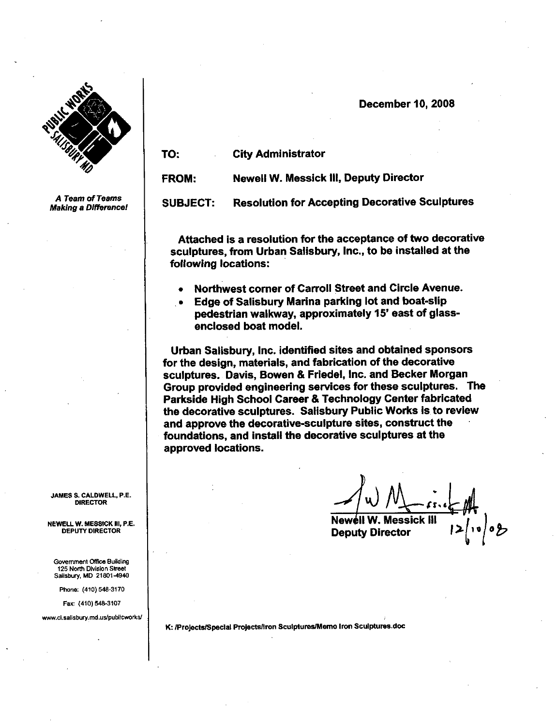December 10, 2008



TO: City Administrator

FROM: Newell W. Messick III, Deputy Director

A Team of Teams Making a Difference!

SUBJECT: Resolution for Accepting Decorative Sculptures

Attached is a resolution for the acceptance of two decorative sculptures, from Urban Salisbury, Inc., to be installed at the following locations

- Northwest corner of Carroll Street and Circle Avenue
- Edge of Salisbury Marina parking lot and boat slip pedestrian walkway, approximately 15' east of glassenclosed boat model

Urban Salisbury, Inc. identified sites and obtained sponsors for the design, materials, and fabrication of the decorative sculptures. Davis, Bowen & Friedel, Inc. and Becker Morgan Group provided engineering services for these sculptures. The Parkside High School Career & Technology Center fabricated the decorative sculptures. Salisbury Public Works is to review and approve the decorative-sculpture sites, construct the foundations, and install the decorative sculptures at the approved locations

 $\frac{1}{\sqrt{1-\epsilon}}$ 

 $\bm{\mathcal{E}}$ 

Newéli W. Messick III **Deputy Director** 

K: /Projects/Special Projects/iron Sculptures/Memo Iron Sculptures.doc

JAMES S. CALDWELL, P.E. DIRECTOR

NEWELL W. MESSICK III, P.E. DEPUTY DIRECTOR

Government Office Building 125 North Division Street Salisbury, MD 21801-4940 NEWELL W. MESSICK III, P.E.<br>
DEPUTY DIRECTOR<br>
Government Office Building<br>
125 North Division Street<br>
Salisbury, MD 21801-4940<br>
Phone: (410) 548-3170<br>
Fax: (410) 548-3107<br>
www.ci.salisbury.md.us/publicworks/

Phone: (410) 548-3170

Fax: (410) 548-3107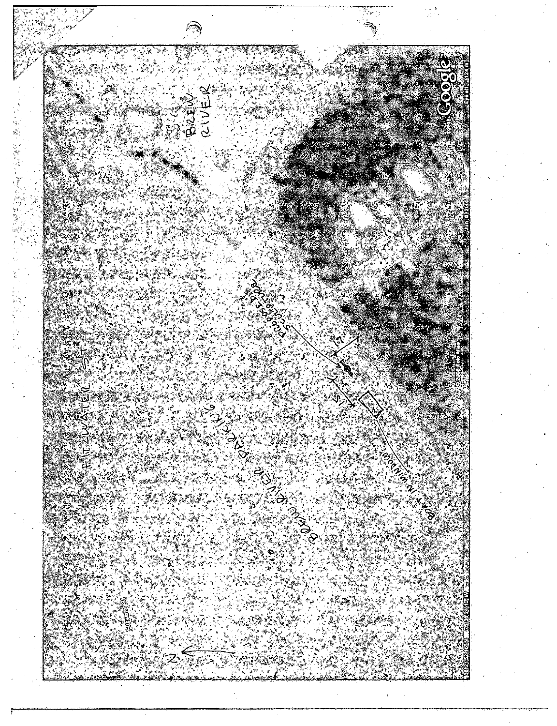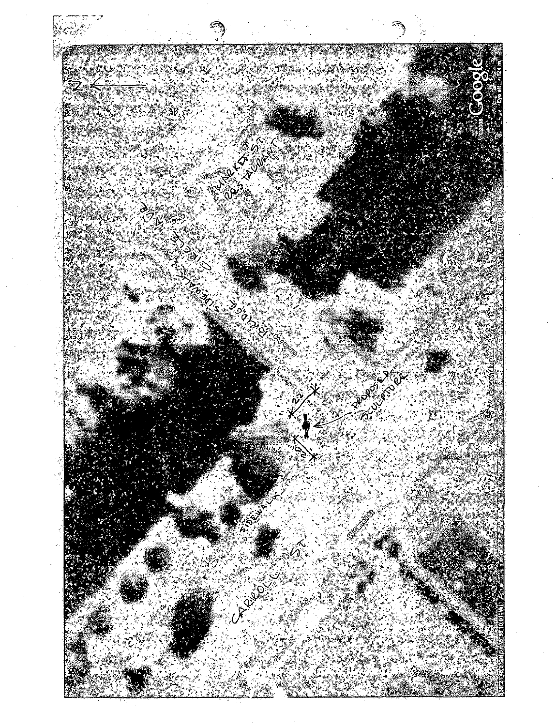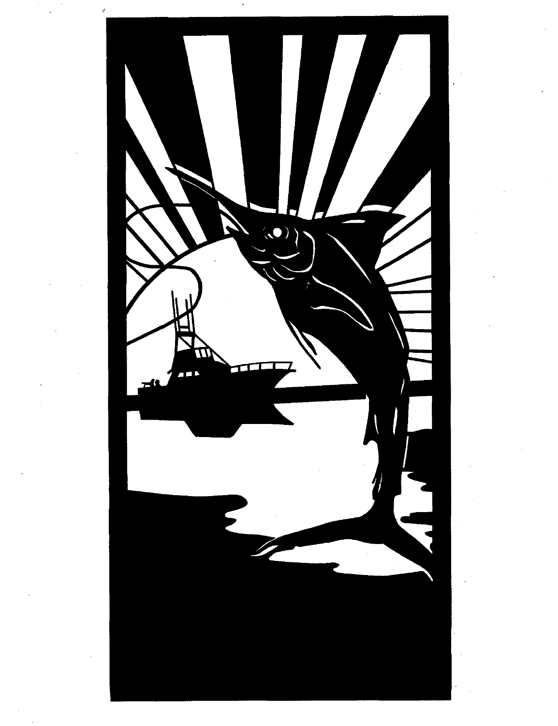